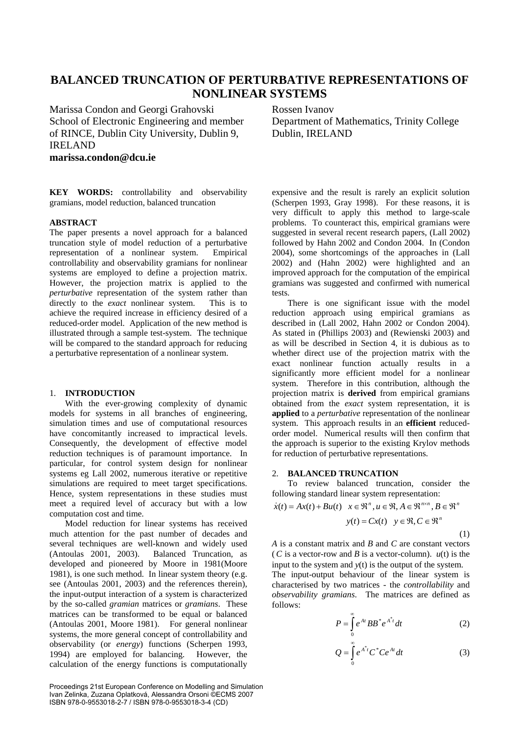# **BALANCED TRUNCATION OF PERTURBATIVE REPRESENTATIONS OF NONLINEAR SYSTEMS**

Marissa Condon and Georgi Grahovski School of Electronic Engineering and member of RINCE, Dublin City University, Dublin 9, IRELAND **marissa.condon@dcu.ie**

**KEY WORDS:** controllability and observability gramians, model reduction, balanced truncation

## **ABSTRACT**

The paper presents a novel approach for a balanced truncation style of model reduction of a perturbative representation of a nonlinear system. Empirical controllability and observability gramians for nonlinear systems are employed to define a projection matrix. However, the projection matrix is applied to the *perturbative* representation of the system rather than directly to the *exact* nonlinear system. This is to achieve the required increase in efficiency desired of a reduced-order model. Application of the new method is illustrated through a sample test-system. The technique will be compared to the standard approach for reducing a perturbative representation of a nonlinear system.

## 1. **INTRODUCTION**

With the ever-growing complexity of dynamic models for systems in all branches of engineering, simulation times and use of computational resources have concomitantly increased to impractical levels. Consequently, the development of effective model reduction techniques is of paramount importance. In particular, for control system design for nonlinear systems eg Lall 2002, numerous iterative or repetitive simulations are required to meet target specifications. Hence, system representations in these studies must meet a required level of accuracy but with a low computation cost and time.

Model reduction for linear systems has received much attention for the past number of decades and several techniques are well-known and widely used (Antoulas 2001, 2003). Balanced Truncation, as developed and pioneered by Moore in 1981(Moore 1981), is one such method. In linear system theory (e.g. see (Antoulas 2001, 2003) and the references therein), the input-output interaction of a system is characterized by the so-called *gramian* matrices or *gramians*. These matrices can be transformed to be equal or balanced (Antoulas 2001, Moore 1981). For general nonlinear systems, the more general concept of controllability and observability (or *energy*) functions (Scherpen 1993, 1994) are employed for balancing. However, the calculation of the energy functions is computationally

Proceedings 21st European Conference on Modelling and Simulation Ivan Zelinka, Zuzana Oplatková, Alessandra Orsoni ©ECMS 2007 ISBN 978-0-9553018-2-7 / ISBN 978-0-9553018-3-4 (CD)

Rossen Ivanov

Department of Mathematics, Trinity College Dublin, IRELAND

expensive and the result is rarely an explicit solution (Scherpen 1993, Gray 1998). For these reasons, it is very difficult to apply this method to large-scale problems. To counteract this, empirical gramians were suggested in several recent research papers, (Lall 2002) followed by Hahn 2002 and Condon 2004. In (Condon 2004), some shortcomings of the approaches in (Lall 2002) and (Hahn 2002) were highlighted and an improved approach for the computation of the empirical gramians was suggested and confirmed with numerical tests.

There is one significant issue with the model reduction approach using empirical gramians as described in (Lall 2002, Hahn 2002 or Condon 2004). As stated in (Phillips 2003) and (Rewienski 2003) and as will be described in Section 4, it is dubious as to whether direct use of the projection matrix with the exact nonlinear function actually results in a significantly more efficient model for a nonlinear system. Therefore in this contribution, although the projection matrix is **derived** from empirical gramians obtained from the *exact* system representation, it is **applied** to a *perturbative* representation of the nonlinear system. This approach results in an **efficient** reducedorder model. Numerical results will then confirm that the approach is superior to the existing Krylov methods for reduction of perturbative representations.

# 2. **BALANCED TRUNCATION**

To review balanced truncation, consider the following standard linear system representation:

$$
\dot{x}(t) = Ax(t) + Bu(t) \quad x \in \mathfrak{R}^n, u \in \mathfrak{R}, A \in \mathfrak{R}^{n \times n}, B \in \mathfrak{R}^n
$$

$$
y(t) = Cx(t) \quad y \in \mathfrak{R}, C \in \mathfrak{R}^n
$$

(1)

*A* is a constant matrix and *B* and *C* are constant vectors (*C* is a vector-row and *B* is a vector-column). *u*(t) is the input to the system and *y*(t) is the output of the system. The input-output behaviour of the linear system is characterised by two matrices - the *controllability* and *observability gramians*. The matrices are defined as follows:

$$
P = \int_{0}^{\infty} e^{At} BB^* e^{A^*t} dt
$$
 (2)

$$
Q = \int_{0}^{\infty} e^{A^*t} C^* C e^{At} dt
$$
 (3)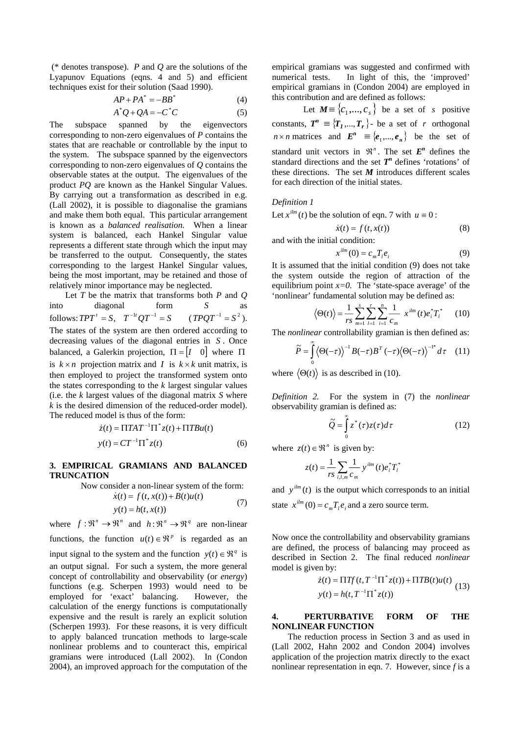(\* denotes transpose). *P* and *Q* are the solutions of the Lyapunov Equations (eqns. 4 and 5) and efficient techniques exist for their solution (Saad 1990).

$$
AP + PA^* = -BB^*
$$
 (4)

$$
A^*Q + QA = -C^*C \tag{5}
$$

The subspace spanned by the eigenvectors corresponding to non-zero eigenvalues of *P* contains the states that are reachable or controllable by the input to the system. The subspace spanned by the eigenvectors corresponding to non-zero eigenvalues of *Q* contains the observable states at the output. The eigenvalues of the product *PQ* are known as the Hankel Singular Values. By carrying out a transformation as described in e.g. (Lall 2002), it is possible to diagonalise the gramians and make them both equal. This particular arrangement is known as a *balanced realisation*. When a linear system is balanced, each Hankel Singular value represents a different state through which the input may be transferred to the output. Consequently, the states corresponding to the largest Hankel Singular values, being the most important, may be retained and those of relatively minor importance may be neglected.

Let *T* be the matrix that transforms both *P* and *Q* into diagonal form *S* as  $\text{follows: } TPT^t = S, \quad T^{-1t}QT^{-1} = S \quad (TPQT^{-1} = S^2).$ The states of the system are then ordered according to decreasing values of the diagonal entries in S. Once balanced, a Galerkin projection,  $\Pi = \begin{bmatrix} I & 0 \end{bmatrix}$  where  $\Pi$ is  $k \times n$  projection matrix and *I* is  $k \times k$  unit matrix, is then employed to project the transformed system onto the states corresponding to the *k* largest singular values (i.e. the *k* largest values of the diagonal matrix *S* where *k* is the desired dimension of the reduced-order model). The reduced model is thus of the form:

$$
\dot{z}(t) = \Pi TAT^{-1}\Pi^* z(t) + \Pi TBu(t)
$$
  
\n
$$
y(t) = CT^{-1}\Pi^* z(t)
$$
\n(6)

## **3. EMPIRICAL GRAMIANS AND BALANCED TRUNCATION**

Now consider a non-linear system of the form:

$$
\dot{x}(t) = f(t, x(t)) + B(t)u(t)
$$
  
\n
$$
y(t) = h(t, x(t))
$$
\n(7)

where  $f: \mathbb{R}^n \to \mathbb{R}^n$  and  $h: \mathbb{R}^n \to \mathbb{R}^q$  are non-linear functions, the function  $u(t) \in \mathbb{R}^p$  is regarded as an input signal to the system and the function  $y(t) \in \mathbb{R}^q$  is an output signal. For such a system, the more general concept of controllability and observability (or *energy*) functions (e.g. Scherpen 1993) would need to be employed for 'exact' balancing. However, the calculation of the energy functions is computationally expensive and the result is rarely an explicit solution (Scherpen 1993). For these reasons, it is very difficult to apply balanced truncation methods to large-scale nonlinear problems and to counteract this, empirical gramians were introduced (Lall 2002). In (Condon 2004), an improved approach for the computation of the

empirical gramians was suggested and confirmed with numerical tests. In light of this, the 'improved' empirical gramians in (Condon 2004) are employed in this contribution and are defined as follows:

Let  $M \equiv \{c_1, ..., c_s\}$  be a set of *s* positive constants,  $T^n \equiv \{T_1, ..., T_r\}$ - be a set of *r* orthogonal  $n \times n$  matrices and  $E^n \equiv \{e_1, ..., e_n\}$  be the set of standard unit vectors in  $\mathbb{R}^n$ . The set  $E^n$  defines the standard directions and the set  $T<sup>n</sup>$  defines 'rotations' of these directions. The set  $M$  introduces different scales for each direction of the initial states.

#### *Definition 1*

Let  $x^{ilm}(t)$  be the solution of eqn. 7 with  $u \equiv 0$ :

$$
\dot{x}(t) = f(t, x(t))\tag{8}
$$

and with the initial condition:

$$
x^{ilm}(0) = c_m T_i e_i \tag{9}
$$

It is assumed that the initial condition (9) does not take the system outside the region of attraction of the equilibrium point  $x=0$ . The 'state-space average' of the 'nonlinear' fundamental solution may be defined as:

$$
\langle \Theta(t) \rangle = \frac{1}{rs} \sum_{m=1}^{s} \sum_{l=1}^{r} \sum_{i=1}^{n} \frac{1}{c_m} x^{ilm} (t) e_i^* T_l^* \qquad (10)
$$

The *nonlinear* controllability gramian is then defined as:

$$
\widetilde{P} = \int_{0}^{\infty} \langle \Theta(-\tau) \rangle^{-1} B(-\tau) B^{T} (-\tau) \langle \Theta(-\tau) \rangle^{-1^{*}} d\tau \quad (11)
$$

where  $\langle \Theta(t) \rangle$  is as described in (10).

*Definition 2.* For the system in (7) the *nonlinear* observability gramian is defined as:

$$
\widetilde{Q} = \int_{0}^{\infty} z^*(\tau) z(\tau) d\tau \tag{12}
$$

where  $z(t) \in \mathbb{R}^n$  is given by:

$$
z(t) = \frac{1}{rs} \sum_{i,l,m} \frac{1}{c_m} y^{ilm} (t) e_i^* T_l^*
$$

and  $y^{ilm}(t)$  is the output which corresponds to an initial state  $x^{ilm} (0) = c_m T_l e_i$  and a zero source term.

Now once the controllability and observability gramians are defined, the process of balancing may proceed as described in Section 2. The final reduced *nonlinear* model is given by:

$$
\dot{z}(t) = \Pi T f(t, T^{-1} \Pi^* z(t)) + \Pi T B(t) u(t)
$$
  

$$
y(t) = h(t, T^{-1} \Pi^* z(t))
$$
 (13)

#### **4. PERTURBATIVE FORM OF THE NONLINEAR FUNCTION**

The reduction process in Section 3 and as used in (Lall 2002, Hahn 2002 and Condon 2004) involves application of the projection matrix directly to the exact nonlinear representation in eqn. 7. However, since *f* is a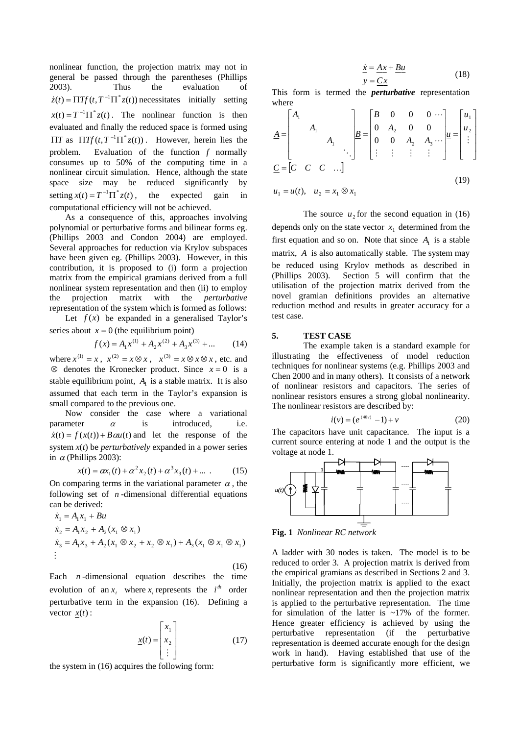nonlinear function, the projection matrix may not in general be passed through the parentheses (Phillips 2003). Thus the evaluation of  $\dot{z}(t) = \Pi T f(t, T^{-1} \Pi^* z(t))$  necessitates initially setting  $x(t) = T^{-1} \Pi^* z(t)$ . The nonlinear function is then evaluated and finally the reduced space is formed using  $\Pi T$  as  $\Pi T f(t, T^{-1} \Pi^* z(t))$ . However, herein lies the problem. Evaluation of the function *f* normally consumes up to 50% of the computing time in a nonlinear circuit simulation. Hence, although the state space size may be reduced significantly by setting  $x(t) = T^{-1} \Pi^* z(t)$ , the expected gain in computational efficiency will not be achieved.

As a consequence of this, approaches involving polynomial or perturbative forms and bilinear forms eg. (Phillips 2003 and Condon 2004) are employed. Several approaches for reduction via Krylov subspaces have been given eg. (Phillips 2003). However, in this contribution, it is proposed to (i) form a projection matrix from the empirical gramians derived from a full nonlinear system representation and then (ii) to employ the projection matrix with the *perturbative* representation of the system which is formed as follows: Let  $f(x)$  be expanded in a generalised Taylor's

series about  $x = 0$  (the equilibrium point)

$$
f(x) = A_1 x^{(1)} + A_2 x^{(2)} + A_3 x^{(3)} + \dots
$$
 (14)

where  $x^{(1)} = x$ ,  $x^{(2)} = x \otimes x$ ,  $x^{(3)} = x \otimes x \otimes x$ , etc. and ⊗ denotes the Kronecker product. Since  $x = 0$  is a stable equilibrium point,  $A<sub>1</sub>$  is a stable matrix. It is also assumed that each term in the Taylor's expansion is small compared to the previous one.

Now consider the case where a variational parameter  $\alpha$  is introduced, i.e.  $\dot{x}(t) = f(x(t)) + B\alpha u(t)$  and let the response of the system *x*(*t*) be *perturbatively* expanded in a power series in  $\alpha$  (Phillips 2003):

$$
x(t) = \alpha x_1(t) + \alpha^2 x_2(t) + \alpha^3 x_3(t) + \dots
$$
 (15)

On comparing terms in the variational parameter  $\alpha$ , the following set of  $n$ -dimensional differential equations can be derived:

$$
\dot{x}_1 = A_1 x_1 + Bu
$$
\n
$$
\dot{x}_2 = A_1 x_2 + A_2 (x_1 \otimes x_1)
$$
\n
$$
\dot{x}_3 = A_1 x_3 + A_2 (x_1 \otimes x_2 + x_2 \otimes x_1) + A_3 (x_1 \otimes x_1 \otimes x_1)
$$
\n
$$
\vdots
$$
\n(16)

Each  $n$ -dimensional equation describes the time evolution of an  $x_i$  where  $x_i$  represents the  $i^{th}$  order perturbative term in the expansion (16). Defining a vector  $x(t)$ :

$$
\underline{x}(t) = \begin{bmatrix} x_1 \\ x_2 \\ \vdots \end{bmatrix} \tag{17}
$$

the system in (16) acquires the following form:

$$
\begin{aligned}\n\dot{\underline{x}} &= \underline{A}\underline{x} + \underline{B}\underline{u} \\
y &= \underline{C}\underline{x}\n\end{aligned} \n\tag{18}
$$

This form is termed the *perturbative* representation where

$$
\underline{A} = \begin{bmatrix} A_1 & & & \\ & A_1 & & \\ & & A_1 & \\ & & & \ddots \end{bmatrix} \underline{B} = \begin{bmatrix} B & 0 & 0 & 0 & \cdots \\ 0 & A_2 & 0 & 0 & \\ 0 & 0 & A_2 & A_3 & \cdots \\ \vdots & \vdots & \vdots & \vdots & \vdots \end{bmatrix} \underline{u} = \begin{bmatrix} u_1 \\ u_2 \\ \vdots \\ u_n \end{bmatrix}
$$
\n
$$
\underline{C} = \begin{bmatrix} C & C & C & \cdots \end{bmatrix}
$$
\n
$$
u_1 = u(t), \quad u_2 = x_1 \otimes x_1
$$
\n(19)

The source  $u_2$  for the second equation in (16) depends only on the state vector  $x_1$  determined from the first equation and so on. Note that since  $A_1$  is a stable matrix, *A* is also automatically stable. The system may be reduced using Krylov methods as described in (Phillips 2003). Section 5 will confirm that the utilisation of the projection matrix derived from the novel gramian definitions provides an alternative reduction method and results in greater accuracy for a test case.

#### **5. TEST CASE**

The example taken is a standard example for illustrating the effectiveness of model reduction techniques for nonlinear systems (e.g. Phillips 2003 and Chen 2000 and in many others). It consists of a network of nonlinear resistors and capacitors. The series of nonlinear resistors ensures a strong global nonlinearity. The nonlinear resistors are described by:

$$
i(v) = (e^{(40v)} - 1) + v \tag{20}
$$

The capacitors have unit capacitance. The input is a current source entering at node 1 and the output is the voltage at node 1.



**Fig. 1** *Nonlinear RC network* 

A ladder with 30 nodes is taken. The model is to be reduced to order 3. A projection matrix is derived from the empirical gramians as described in Sections 2 and 3. Initially, the projection matrix is applied to the exact nonlinear representation and then the projection matrix is applied to the perturbative representation. The time for simulation of the latter is ~17% of the former. Hence greater efficiency is achieved by using the perturbative representation (if the perturbative representation is deemed accurate enough for the design work in hand). Having established that use of the perturbative form is significantly more efficient, we